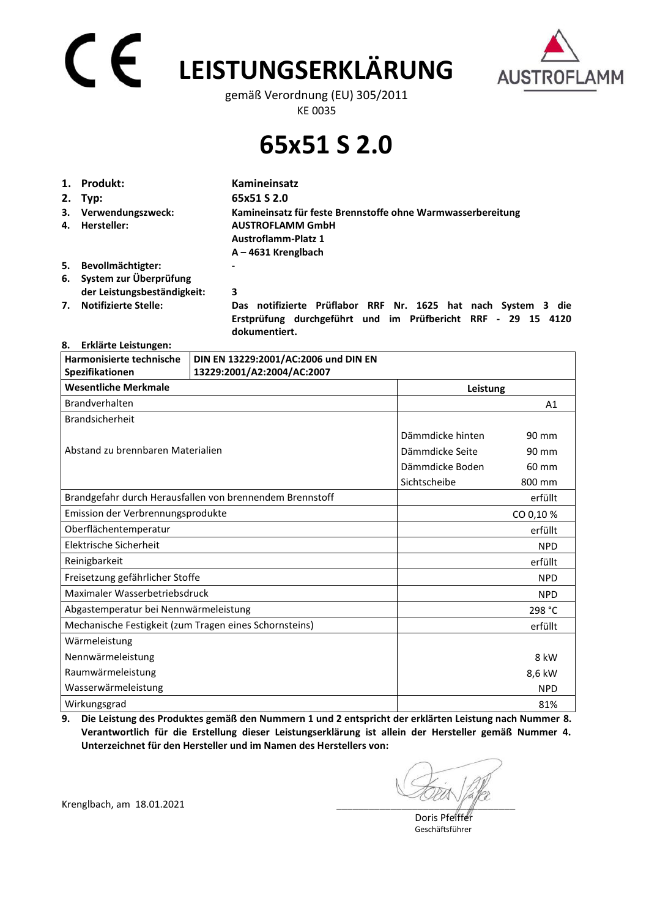# **LEISTUNGSERKLÄRUNG**



gemäß Verordnung (EU) 305/2011 KE 0035

### **65x51 S 2.0**

| 1. | Produkt:                                                 | Kamineinsatz                                                                                                                  |  |
|----|----------------------------------------------------------|-------------------------------------------------------------------------------------------------------------------------------|--|
|    | 2. Typ:                                                  | 65x51 S 2.0                                                                                                                   |  |
|    | 3. Verwendungszweck:                                     | Kamineinsatz für feste Brennstoffe ohne Warmwasserbereitung                                                                   |  |
|    | 4. Hersteller:                                           | <b>AUSTROFLAMM GmbH</b><br><b>Austroflamm-Platz 1</b>                                                                         |  |
|    |                                                          | $A - 4631$ Krenglbach                                                                                                         |  |
| 5. | Bevollmächtigter:                                        |                                                                                                                               |  |
|    | 6. System zur Überprüfung<br>der Leistungsbeständigkeit: | 3                                                                                                                             |  |
| 7. | <b>Notifizierte Stelle:</b>                              | Das notifizierte Prüflabor RRF Nr. 1625 hat nach System 3 die<br>Erstprüfung durchgeführt und im Prüfbericht RRF - 29 15 4120 |  |

 **dokumentiert.** 

#### **8. Erklärte Leistungen:**

| Harmonisierte technische<br>Spezifikationen            | DIN EN 13229:2001/AC:2006 und DIN EN<br>13229:2001/A2:2004/AC:2007 |                  |            |
|--------------------------------------------------------|--------------------------------------------------------------------|------------------|------------|
| <b>Wesentliche Merkmale</b>                            | Leistung                                                           |                  |            |
| Brandverhalten                                         |                                                                    |                  | A1         |
| <b>Brandsicherheit</b>                                 |                                                                    |                  |            |
|                                                        |                                                                    | Dämmdicke hinten | 90 mm      |
| Abstand zu brennbaren Materialien                      |                                                                    | Dämmdicke Seite  | 90 mm      |
|                                                        |                                                                    | Dämmdicke Boden  | 60 mm      |
|                                                        |                                                                    | Sichtscheibe     | 800 mm     |
|                                                        | Brandgefahr durch Herausfallen von brennendem Brennstoff           |                  | erfüllt    |
| Emission der Verbrennungsprodukte                      |                                                                    |                  | CO 0,10 %  |
| Oberflächentemperatur                                  |                                                                    |                  | erfüllt    |
| Elektrische Sicherheit                                 |                                                                    |                  | <b>NPD</b> |
| Reinigbarkeit                                          |                                                                    |                  | erfüllt    |
| Freisetzung gefährlicher Stoffe                        |                                                                    |                  | <b>NPD</b> |
| Maximaler Wasserbetriebsdruck                          |                                                                    |                  | <b>NPD</b> |
| Abgastemperatur bei Nennwärmeleistung                  |                                                                    |                  | 298 °C     |
| Mechanische Festigkeit (zum Tragen eines Schornsteins) |                                                                    |                  | erfüllt    |
| Wärmeleistung                                          |                                                                    |                  |            |
| Nennwärmeleistung                                      |                                                                    |                  | 8 kW       |
| Raumwärmeleistung                                      |                                                                    |                  | 8,6 kW     |
| Wasserwärmeleistung                                    |                                                                    |                  | <b>NPD</b> |
| Wirkungsgrad                                           |                                                                    |                  | 81%        |

**9. Die Leistung des Produktes gemäß den Nummern 1 und 2 entspricht der erklärten Leistung nach Nummer 8. Verantwortlich für die Erstellung dieser Leistungserklärung ist allein der Hersteller gemäß Nummer 4. Unterzeichnet für den Hersteller und im Namen des Herstellers von:** 

Krenglbach, am 18.01.2021

 Doris Pfeiffer Geschäftsführer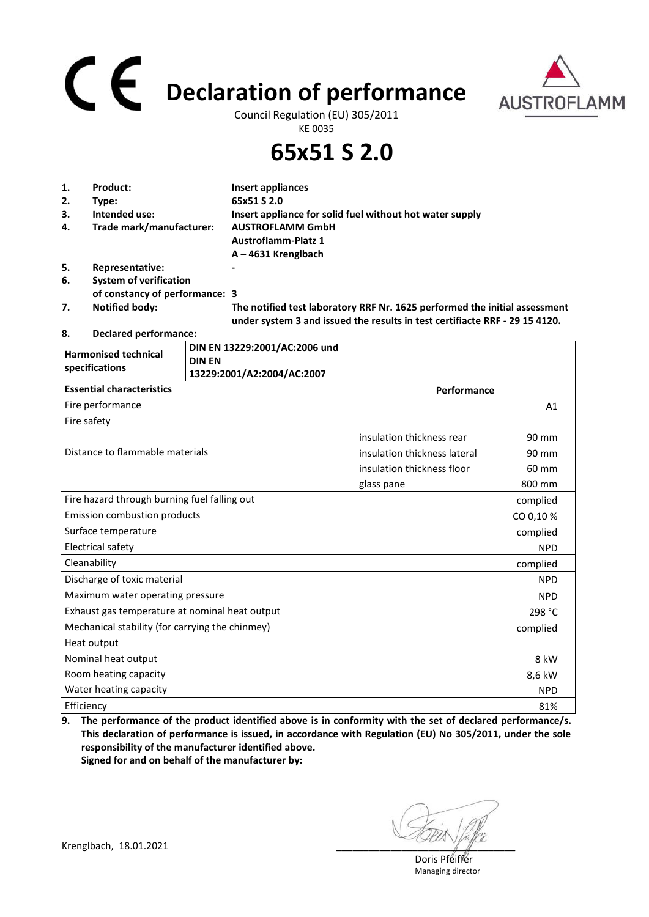## **Declaration of performance**



Council Regulation (EU) 305/2011 KE 0035

**65x51 S 2.0**

| 1. | Product:                       | Insert appliances                                                                                                                                         |
|----|--------------------------------|-----------------------------------------------------------------------------------------------------------------------------------------------------------|
| 2. | Type:                          | 65x51 S 2.0                                                                                                                                               |
| 3. | Intended use:                  | Insert appliance for solid fuel without hot water supply                                                                                                  |
| 4. | Trade mark/manufacturer:       | <b>AUSTROFLAMM GmbH</b>                                                                                                                                   |
|    |                                | <b>Austroflamm-Platz 1</b>                                                                                                                                |
|    |                                | $A - 4631$ Krenglbach                                                                                                                                     |
| 5. | Representative:                | -                                                                                                                                                         |
| 6. | <b>System of verification</b>  |                                                                                                                                                           |
|    | of constancy of performance: 3 |                                                                                                                                                           |
| 7. | <b>Notified body:</b>          | The notified test laboratory RRF Nr. 1625 performed the initial assessment<br>under system 3 and issued the results in test certifiacte RRF - 29 15 4120. |

### **8. Declared performance:**

| <b>Harmonised technical</b>                     | DIN EN 13229:2001/AC:2006 und<br><b>DIN EN</b> |                              |            |
|-------------------------------------------------|------------------------------------------------|------------------------------|------------|
| specifications                                  | 13229:2001/A2:2004/AC:2007                     |                              |            |
| <b>Essential characteristics</b><br>Performance |                                                |                              |            |
| Fire performance                                |                                                |                              | A1         |
| Fire safety                                     |                                                |                              |            |
|                                                 |                                                | insulation thickness rear    | 90 mm      |
| Distance to flammable materials                 |                                                | insulation thickness lateral | 90 mm      |
|                                                 |                                                | insulation thickness floor   | 60 mm      |
|                                                 |                                                | glass pane                   | 800 mm     |
| Fire hazard through burning fuel falling out    |                                                |                              | complied   |
| <b>Emission combustion products</b>             |                                                |                              | CO 0,10 %  |
| Surface temperature                             |                                                |                              | complied   |
| <b>Electrical safety</b>                        |                                                |                              | <b>NPD</b> |
| Cleanability                                    |                                                |                              | complied   |
| Discharge of toxic material                     |                                                |                              | <b>NPD</b> |
| Maximum water operating pressure                |                                                |                              | <b>NPD</b> |
| Exhaust gas temperature at nominal heat output  |                                                |                              | 298 °C     |
| Mechanical stability (for carrying the chinmey) |                                                |                              | complied   |
| Heat output                                     |                                                |                              |            |
| Nominal heat output                             |                                                |                              | 8 kW       |
| Room heating capacity                           |                                                |                              | 8,6 kW     |
| Water heating capacity                          |                                                |                              | <b>NPD</b> |
| Efficiency                                      |                                                |                              | 81%        |

**9. The performance of the product identified above is in conformity with the set of declared performance/s. This declaration of performance is issued, in accordance with Regulation (EU) No 305/2011, under the sole responsibility of the manufacturer identified above. Signed for and on behalf of the manufacturer by:**

Krenglbach, 18.01.2021

 Doris Pfeiffer Managing director